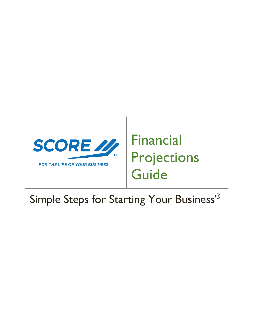

# Financial Projections **Guide**

# Simple Steps for Starting Your Business<sup>®</sup>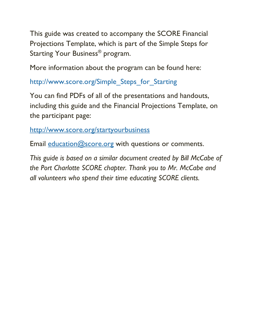This guide was created to accompany the SCORE Financial Projections Template, which is part of the Simple Steps for Starting Your Business® program.

More information about the program can be found here:

[http://www.score.org/Simple\\_Steps\\_for\\_Starting](http://www.score.org/Simple_Steps_for_Starting)

You can find PDFs of all of the presentations and handouts, including this guide and the Financial Projections Template, on the participant page:

<http://www.score.org/startyourbusiness>

Email [education@score.org](mailto:education@score.org) with questions or comments.

*This guide is based on a similar document created by Bill McCabe of the Port Charlotte SCORE chapter. Thank you to Mr. McCabe and all volunteers who spend their time educating SCORE clients.*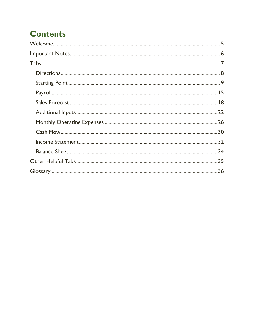# **Contents**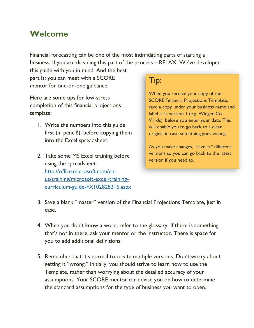# <span id="page-4-0"></span>**Welcome**

Financial forecasting can be one of the most intimidating parts of starting a business. If you are dreading this part of the process – RELAX! We've developed

this guide with you in mind. And the best part is: you can meet with a SCORE mentor for one-on-one guidance.

Here are some tips for low-stress completion of this financial projections template:

- 1. Write the numbers into this guide first (in pencil!), before copying them into the Excel spreadsheet.
- 2. Take some MS Excel training before using the spreadsheet: [http://office.microsoft.com/en](http://office.microsoft.com/en-us/training/microsoft-excel-training-curriculum-guide-FX102828216.aspx)[us/training/microsoft-excel-training](http://office.microsoft.com/en-us/training/microsoft-excel-training-curriculum-guide-FX102828216.aspx)[curriculum-guide-FX102828216.aspx](http://office.microsoft.com/en-us/training/microsoft-excel-training-curriculum-guide-FX102828216.aspx)

# Tip:

When you receive your copy of the SCORE Financial Projections Template, save a copy under your business name and label it as version 1 (e.g. WidgetsCo-V1.xls), before you enter your data. This will enable you to go back to a clean original in case something goes wrong.

As you make changes, "save as" different versions so you can go back to the latest version if you need to.

- 3. Save a blank "master" version of the Financial Projections Template, just in case.
- 4. When you don't know a word, refer to the glossary. If there is something that's not in there, ask your mentor or the instructor. There is space for you to add additional definitions.
- 5. Remember that it's normal to create multiple versions. Don't worry about getting it "wrong." Initially, you should strive to learn how to use the Template, rather than worrying about the detailed accuracy of your assumptions. Your SCORE mentor can advise you on how to determine the standard assumptions for the type of business you want to open.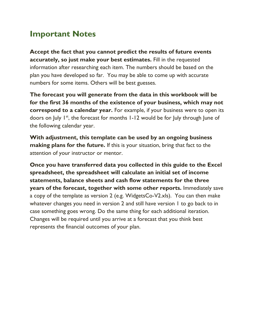# <span id="page-5-0"></span>**Important Notes**

**Accept the fact that you cannot predict the results of future events accurately, so just make your best estimates.** Fill in the requested information after researching each item. The numbers should be based on the plan you have developed so far. You may be able to come up with accurate numbers for some items. Others will be best guesses.

**The forecast you will generate from the data in this workbook will be for the first 36 months of the existence of your business, which may not correspond to a calendar year.** For example, if your business were to open its doors on July 1<sup>st</sup>, the forecast for months 1-12 would be for July through June of the following calendar year.

**With adjustment, this template can be used by an ongoing business making plans for the future.** If this is your situation, bring that fact to the attention of your instructor or mentor.

**Once you have transferred data you collected in this guide to the Excel spreadsheet, the spreadsheet will calculate an initial set of income statements, balance sheets and cash flow statements for the three years of the forecast, together with some other reports.** Immediately save a copy of the template as version 2 (e.g. WidgetsCo-V2.xls). You can then make whatever changes you need in version 2 and still have version 1 to go back to in case something goes wrong. Do the same thing for each additional iteration. Changes will be required until you arrive at a forecast that you think best represents the financial outcomes of your plan.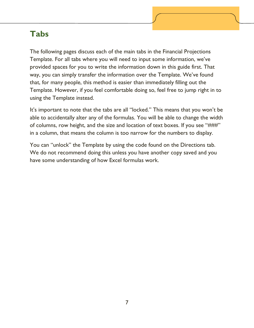# <span id="page-6-0"></span>**Tabs**

The following pages discuss each of the main tabs in the Financial Projections Template. For all tabs where you will need to input some information, we've provided spaces for you to write the information down in this guide first. That way, you can simply transfer the information over the Template. We've found that, for many people, this method is easier than immediately filling out the Template. However, if you feel comfortable doing so, feel free to jump right in to using the Template instead.

It's important to note that the tabs are all "locked." This means that you won't be able to accidentally alter any of the formulas. You will be able to change the width of columns, row height, and the size and location of text boxes. If you see "###" in a column, that means the column is too narrow for the numbers to display.

You can "unlock" the Template by using the code found on the Directions tab. We do not recommend doing this unless you have another copy saved and you have some understanding of how Excel formulas work.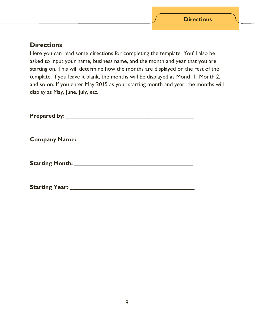#### <span id="page-7-0"></span>**Directions**

Here you can read some directions for completing the template. You'll also be asked to input your name, business name, and the month and year that you are starting on. This will determine how the months are displayed on the rest of the template. If you leave it blank, the months will be displayed as Month 1, Month 2, and so on. If you enter May 2015 as your starting month and year, the months will display as May, June, July, etc.

| Prepared by: ____________________ |  |  |
|-----------------------------------|--|--|
| <b>Company Name:</b>              |  |  |
| <b>Starting Month:</b>            |  |  |

Starting Year: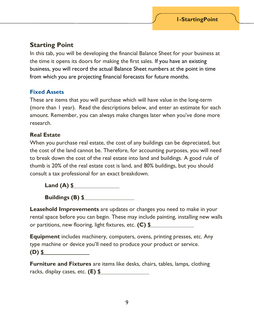### <span id="page-8-0"></span>**Starting Point**

In this tab, you will be developing the financial Balance Sheet for your business at the time it opens its doors for making the first sales. If you have an existing business, you will record the actual Balance Sheet numbers at the point in time from which you are projecting financial forecasts for future months.

#### **Fixed Assets**

These are items that you will purchase which will have value in the long-term (more than 1 year). Read the descriptions below, and enter an estimate for each amount. Remember, you can always make changes later when you've done more research.

#### **Real Estate**

When you purchase real estate, the cost of any buildings can be depreciated, but the cost of the land cannot be. Therefore, for accounting purposes, you will need to break down the cost of the real estate into land and buildings. A good rule of thumb is 20% of the real estate cost is land, and 80% buildings, but you should consult a tax professional for an exact breakdown.

**Land (A) \$**

**Buildings (B) \$**

**Leasehold Improvements** are updates or changes you need to make in your rental space before you can begin. These may include painting, installing new walls or partitions, new flooring, light fixtures, etc. **(C) \$**

**Equipment** includes machinery, computers, ovens, printing presses, etc. Any type machine or device you'll need to produce your product or service. **(D) \$**

**Furniture and Fixtures** are items like desks, chairs, tables, lamps, clothing racks, display cases, etc. **(E) \$**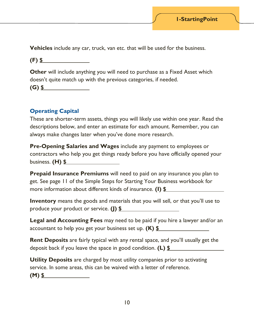**Vehicles** include any car, truck, van etc. that will be used for the business.

**(F) \$**

**Other** will include anything you will need to purchase as a Fixed Asset which doesn't quite match up with the previous categories, if needed. **(G) \$**

#### **Operating Capital**

These are shorter-term assets, things you will likely use within one year. Read the descriptions below, and enter an estimate for each amount. Remember, you can always make changes later when you've done more research.

**Pre-Opening Salaries and Wages** include any payment to employees or contractors who help you get things ready before you have officially opened your business. **(H) \$**

**Prepaid Insurance Premiums** will need to paid on any insurance you plan to get. See page 11 of the Simple Steps for Starting Your Business workbook for more information about different kinds of insurance. **(I) \$**

**Inventory** means the goods and materials that you will sell, or that you'll use to produce your product or service. **(J) \$**

**Legal and Accounting Fees** may need to be paid if you hire a lawyer and/or an accountant to help you get your business set up. **(K) \$**

**Rent Deposits** are fairly typical with any rental space, and you'll usually get the deposit back if you leave the space in good condition. **(L) \$**

**Utility Deposits** are charged by most utility companies prior to activating service. In some areas, this can be waived with a letter of reference.

**(M) \$**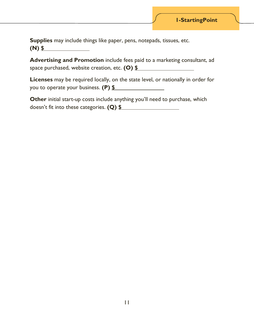**Supplies** may include things like paper, pens, notepads, tissues, etc. **(N) \$**

**Advertising and Promotion** include fees paid to a marketing consultant, ad space purchased, website creation, etc. **(O) \$**

**Licenses** may be required locally, on the state level, or nationally in order for you to operate your business. **(P) \$**

**Other** initial start-up costs include anything you'll need to purchase, which doesn't fit into these categories. **(Q) \$**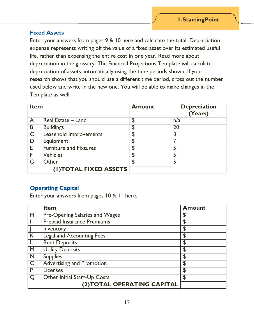#### **Fixed Assets**

Enter your answers from pages 9 & 10 here and calculate the total. Depreciation expense represents writing off the value of a fixed asset over its estimated useful life, rather than expensing the entire cost in one year. Read more about depreciation in the glossary. The Financial Projections Template will calculate depreciation of assets automatically using the time periods shown. If your research shows that you should use a different time period, cross out the number used below and write in the new one. You will be able to make changes in the Template as well.

| <b>Item</b>    |                               | <b>Amount</b> | <b>Depreciation</b><br>(Years) |
|----------------|-------------------------------|---------------|--------------------------------|
| $\overline{A}$ | Real Estate - Land            | \$            | n/a                            |
| B              | <b>Buildings</b>              |               | 20                             |
| $\overline{C}$ | Leasehold Improvements        |               |                                |
| D              | Equipment                     | \$            |                                |
| E              | <b>Furniture and Fixtures</b> | £.            | 5                              |
| F              | <b>Vehicles</b>               | ፔ             | 5                              |
| G              | Other                         |               |                                |
|                | (I) TOTAL FIXED ASSETS        |               |                                |

#### **Operating Capital**

Enter your answers from pages 10 & 11 here.

|         | <b>Item</b>                      | <b>Amount</b> |
|---------|----------------------------------|---------------|
| Н       | Pre-Opening Salaries and Wages   | \$            |
|         | Prepaid Insurance Premiums       | \$            |
|         | Inventory                        | \$            |
| K       | <b>Legal and Accounting Fees</b> | \$            |
|         | <b>Rent Deposits</b>             | \$            |
| M       | <b>Utility Deposits</b>          | \$            |
| N       | <b>Supplies</b>                  | \$            |
| $\circ$ | <b>Advertising and Promotion</b> | \$            |
| P       | Licenses                         | \$            |
|         | Other Initial Start-Up Costs     | \$            |
|         | (2) TOTAL OPERATING CAPITAL      |               |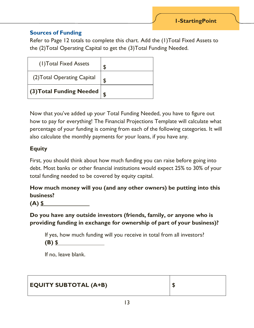#### **Sources of Funding**

Refer to Page 12 totals to complete this chart. Add the (1)Total Fixed Assets to the (2)Total Operating Capital to get the (3)Total Funding Needed.

| (1) Total Fixed Assets      |  |
|-----------------------------|--|
| (2) Total Operating Capital |  |
| (3) Total Funding Needed    |  |

Now that you've added up your Total Funding Needed, you have to figure out how to pay for everything! The Financial Projections Template will calculate what percentage of your funding is coming from each of the following categories. It will also calculate the monthly payments for your loans, if you have any.

#### **Equity**

First, you should think about how much funding you can raise before going into debt. Most banks or other financial institutions would expect 25% to 30% of your total funding needed to be covered by equity capital.

**How much money will you (and any other owners) be putting into this business?**

**(A) \$**

**Do you have any outside investors (friends, family, or anyone who is providing funding in exchange for ownership of part of your business)?**

If yes, how much funding will you receive in total from all investors?

**(B) \$**

If no, leave blank.

| <b>EQUITY SUBTOTAL (A+B)</b> |  |
|------------------------------|--|
|                              |  |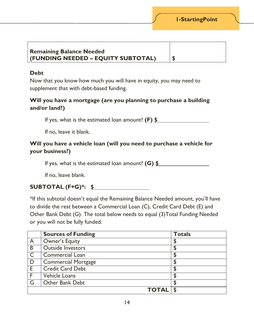#### **Remaining Balance Needed (FUNDING NEEDED – EQUITY SUBTOTAL) \$**

#### **Debt**

Now that you know how much you will have in equity, you may need to supplement that with debt-based funding.

#### **Will you have a mortgage (are you planning to purchase a building and/or land?)**

If yes, what is the estimated loan amount? **(F) \$**

If no, leave it blank.

#### **Will you have a vehicle loan (will you need to purchase a vehicle for your business?)**

If yes, what is the estimated loan amount? **(G) \$**

If no, leave blank.

#### **SUBTOTAL (F+G)\*: \$**

\*If this subtotal doesn't equal the Remaining Balance Needed amount, you'll have to divide the rest between a Commercial Loan (C), Credit Card Debt (E) and Other Bank Debt (G). The total below needs to equal (3)Total Funding Needed or you will not be fully funded.

|                | <b>Sources of Funding</b>  | <b>Totals</b> |
|----------------|----------------------------|---------------|
| $\overline{A}$ | Owner's Equity             | \$            |
| B              | <b>Outside Investors</b>   | \$            |
| $\mathsf{C}$   | <b>Commercial Loan</b>     | \$            |
| D              | <b>Commercial Mortgage</b> | \$            |
| E              | <b>Credit Card Debt</b>    | \$            |
| F              | <b>Vehicle Loans</b>       | \$            |
| G              | <b>Other Bank Debt</b>     | \$            |
|                | <b>TOTAL</b>               |               |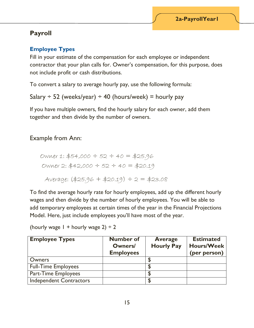### <span id="page-14-0"></span>**Payroll**

#### **Employee Types**

Fill in your estimate of the compensation for each employee or independent contractor that your plan calls for. Owner's compensation, for this purpose, does not include profit or cash distributions.

To convert a salary to average hourly pay, use the following formula:

```
Salary \div 52 (weeks/year) \div 40 (hours/week) = hourly pay
```
If you have multiple owners, find the hourly salary for each owner, add them together and then divide by the number of owners.

#### Example from Ann:

```
 Owner 1: $54,000 ÷ 52 ÷ 40 = $25.96
Owner 2: $42,000 ÷ 52 ÷ 40 = $20.19
Average: (425.96 + 420.19) \div 2 = 423.08
```
To find the average hourly rate for hourly employees, add up the different hourly wages and then divide by the number of hourly employees. You will be able to add temporary employees at certain times of the year in the Financial Projections Model. Here, just include employees you'll have most of the year.

(hourly wage  $1 +$  hourly wage  $2 \div 2$ 

| <b>Employee Types</b>          | <b>Number of</b><br><b>Owners/</b><br><b>Employees</b> | <b>Average</b><br><b>Hourly Pay</b> | <b>Estimated</b><br><b>Hours/Week</b><br>(per person) |
|--------------------------------|--------------------------------------------------------|-------------------------------------|-------------------------------------------------------|
| Owners                         |                                                        |                                     |                                                       |
| <b>Full-Time Employees</b>     |                                                        |                                     |                                                       |
| <b>Part-Time Employees</b>     |                                                        |                                     |                                                       |
| <b>Independent Contractors</b> |                                                        |                                     |                                                       |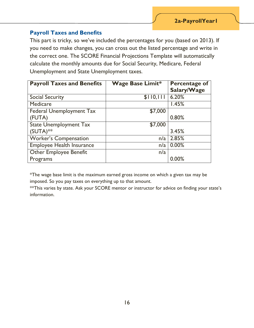#### **Payroll Taxes and Benefits**

This part is tricky, so we've included the percentages for you (based on 2013). If you need to make changes, you can cross out the listed percentage and write in the correct one. The SCORE Financial Projections Template will automatically calculate the monthly amounts due for Social Security, Medicare, Federal Unemployment and State Unemployment taxes.

| <b>Payroll Taxes and Benefits</b> | <b>Wage Base Limit*</b> | <b>Percentage of</b> |
|-----------------------------------|-------------------------|----------------------|
|                                   |                         | Salary/Wage          |
| <b>Social Security</b>            | \$110,111               | 6.20%                |
| Medicare                          |                         | 1.45%                |
| <b>Federal Unemployment Tax</b>   | \$7,000                 |                      |
| (FUTA)                            |                         | 0.80%                |
| <b>State Unemployment Tax</b>     | \$7,000                 |                      |
| $(SUTA)$ **                       |                         | 3.45%                |
| <b>Worker's Compensation</b>      | n/a                     | 2.85%                |
| <b>Employee Health Insurance</b>  | n/a                     | 0.00%                |
| <b>Other Employee Benefit</b>     | n/a                     |                      |
| Programs                          |                         | 0.00%                |

\*The wage base limit is the maximum earned gross income on which a given tax may be imposed. So you pay taxes on everything up to that amount.

\*\*This varies by state. Ask your SCORE mentor or instructor for advice on finding your state's information.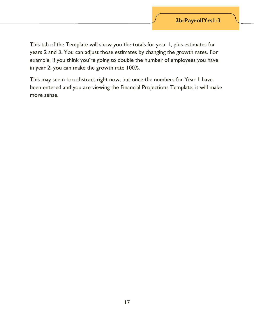This tab of the Template will show you the totals for year 1, plus estimates for years 2 and 3. You can adjust those estimates by changing the growth rates. For example, if you think you're going to double the number of employees you have in year 2, you can make the growth rate 100%.

This may seem too abstract right now, but once the numbers for Year 1 have been entered and you are viewing the Financial Projections Template, it will make more sense.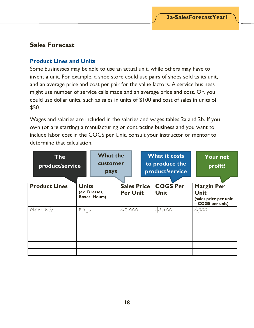#### <span id="page-17-0"></span>**Sales Forecast**

#### **Product Lines and Units**

Some businesses may be able to use an actual unit, while others may have to invent a unit. For example, a shoe store could use pairs of shoes sold as its unit, and an average price and cost per pair for the value factors. A service business might use number of service calls made and an average price and cost. Or, you could use dollar units, such as sales in units of \$100 and cost of sales in units of \$50.

Wages and salaries are included in the salaries and wages tables 2a and 2b. If you own (or are starting) a manufacturing or contracting business and you want to include labor cost in the COGS per Unit, consult your instructor or mentor to determine that calculation.

|                      | <b>The</b><br>product/service |      | <b>What the</b><br>customer<br>pays                   |         |                                       | <b>What it costs</b><br>to produce the<br>product/service |                                |  | <b>Your net</b><br>profit!                                                    |  |
|----------------------|-------------------------------|------|-------------------------------------------------------|---------|---------------------------------------|-----------------------------------------------------------|--------------------------------|--|-------------------------------------------------------------------------------|--|
| <b>Product Lines</b> |                               |      | <b>Units</b><br>(ex. Dresses,<br><b>Boxes, Hours)</b> |         | <b>Sales Price</b><br><b>Per Unit</b> |                                                           | <b>COGS Per</b><br><b>Unit</b> |  | <b>Margin Per</b><br><b>Unit</b><br>(sales price per unit<br>- COGS per unit) |  |
|                      | Plant Mix                     | Bags |                                                       | \$2,000 |                                       |                                                           | \$1,100                        |  | \$900                                                                         |  |
|                      |                               |      |                                                       |         |                                       |                                                           |                                |  |                                                                               |  |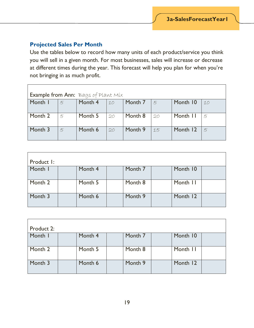#### **Projected Sales Per Month**

Use the tables below to record how many units of each product/service you think you will sell in a given month. For most businesses, sales will increase or decrease at different times during the year. This forecast will help you plan for when you're not bringing in as much profit.

| Example from Ann: Bags of Plant Mix |               |         |            |         |    |          |    |  |
|-------------------------------------|---------------|---------|------------|---------|----|----------|----|--|
| Month I                             | 5             | Month 4 | $\vert$ 10 | Month 7 | 5  | Month 10 | 10 |  |
| Month 2                             | 5             | Month 5 | 20         | Month 8 | 20 | Month II | 5  |  |
| Month 3                             | $\mathcal{F}$ | Month 6 | 20         | Month 9 | 15 | Month 12 | 5  |  |

| Product I: |         |         |          |  |
|------------|---------|---------|----------|--|
| Month I    | Month 4 | Month 7 | Month 10 |  |
| Month 2    | Month 5 | Month 8 | Month II |  |
| Month 3    | Month 6 | Month 9 | Month 12 |  |

| Product 2: |         |         |          |  |
|------------|---------|---------|----------|--|
| Month I    | Month 4 | Month 7 | Month 10 |  |
| Month 2    | Month 5 | Month 8 | Month II |  |
| Month 3    | Month 6 | Month 9 | Month 12 |  |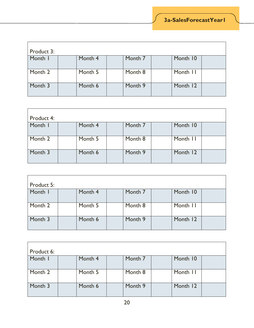| Product 3: |         |         |          |  |
|------------|---------|---------|----------|--|
| Month I    | Month 4 | Month 7 | Month 10 |  |
| Month 2    | Month 5 | Month 8 | Month II |  |
| Month 3    | Month 6 | Month 9 | Month 12 |  |

| Product 4: |         |         |          |  |
|------------|---------|---------|----------|--|
| Month I    | Month 4 | Month 7 | Month 10 |  |
| Month 2    | Month 5 | Month 8 | Month II |  |
| Month 3    | Month 6 | Month 9 | Month 12 |  |

| Product 5: |         |         |          |  |
|------------|---------|---------|----------|--|
| Month I    | Month 4 | Month 7 | Month 10 |  |
| Month 2    | Month 5 | Month 8 | Month II |  |
| Month 3    | Month 6 | Month 9 | Month 12 |  |

| Product 6: |         |         |          |  |
|------------|---------|---------|----------|--|
| Month I    | Month 4 | Month 7 | Month 10 |  |
| Month 2    | Month 5 | Month 8 | Month II |  |
| Month 3    | Month 6 | Month 9 | Month 12 |  |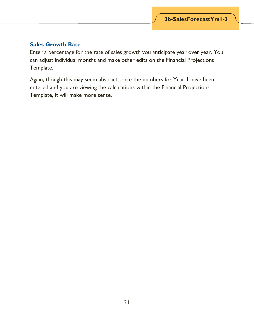#### **Sales Growth Rate**

Enter a percentage for the rate of sales growth you anticipate year over year. You can adjust individual months and make other edits on the Financial Projections Template.

Again, though this may seem abstract, once the numbers for Year 1 have been entered and you are viewing the calculations within the Financial Projections Template, it will make more sense.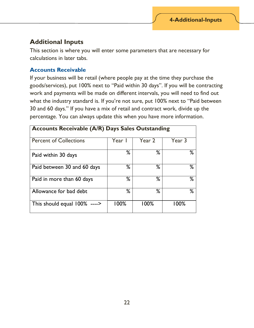#### <span id="page-21-0"></span>**Additional Inputs**

This section is where you will enter some parameters that are necessary for calculations in later tabs.

#### **Accounts Receivable**

If your business will be retail (where people pay at the time they purchase the goods/services), put 100% next to "Paid within 30 days". If you will be contracting work and payments will be made on different intervals, you will need to find out what the industry standard is. If you're not sure, put 100% next to "Paid between 30 and 60 days." If you have a mix of retail and contract work, divide up the percentage. You can always update this when you have more information.

| <b>Accounts Receivable (A/R) Days Sales Outstanding</b> |        |        |         |  |
|---------------------------------------------------------|--------|--------|---------|--|
| <b>Percent of Collections</b>                           | Year I | Year 2 | Year 3  |  |
| Paid within 30 days                                     | ℅      | ℅      | ℅       |  |
| Paid between 30 and 60 days                             | %      | ℅      | %       |  |
| Paid in more than 60 days                               | %      | %      | %       |  |
| Allowance for bad debt                                  | %      | %      | %       |  |
| This should equal $100\%$ ---->                         | 100%   | 100%   | $100\%$ |  |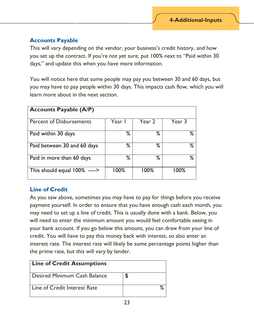#### **Accounts Payable**

This will vary depending on the vendor, your business's credit history, and how you set up the contract. If you're not yet sure, put 100% next to "Paid within 30 days," and update this when you have more information.

You will notice here that some people may pay you between 30 and 60 days, but you may have to pay people within 30 days. This impacts cash flow, which you will learn more about in the next section.

| <b>Accounts Payable (A/P)</b>   |        |        |         |
|---------------------------------|--------|--------|---------|
| <b>Percent of Disbursements</b> | Year I | Year 2 | Year 3  |
| Paid within 30 days             | %      | %      | %       |
| Paid between 30 and 60 days     | %      | %      | ℅       |
| Paid in more than 60 days       | %      | %      | ℅       |
| This should equal $100\%$ ----> | 100%   | 100%   | $100\%$ |

#### **Line of Credit**

As you saw above, sometimes you may have to pay for things before you receive payment yourself. In order to ensure that you have enough cash each month, you may need to set up a line of credit. This is usually done with a bank. Below, you will need to enter the minimum amount you would feel comfortable seeing in your bank account. If you go below this amount, you can draw from your line of credit. You will have to pay this money back with interest, so also enter an interest rate. The interest rate will likely be some percentage points higher than the prime rate, but this will vary by lender.

| <b>Line of Credit Assumptions</b> |    |
|-----------------------------------|----|
| Desired Minimum Cash Balance      | \$ |
| Line of Credit Interest Rate      |    |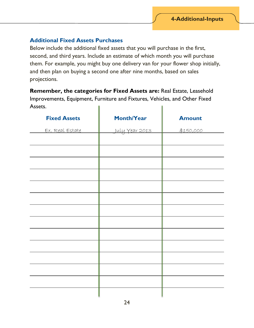#### **Additional Fixed Assets Purchases**

Below include the additional fixed assets that you will purchase in the first, second, and third years. Include an estimate of which month you will purchase them. For example, you might buy one delivery van for your flower shop initially, and then plan on buying a second one after nine months, based on sales projections.

**Remember, the categories for Fixed Assets are:** Real Estate, Leasehold Improvements, Equipment, Furniture and Fixtures, Vehicles, and Other Fixed

Assets. **Fixed Assets Nonth/Year Amount** <u>Ex. Real Estate July Year 2013</u> \$150,000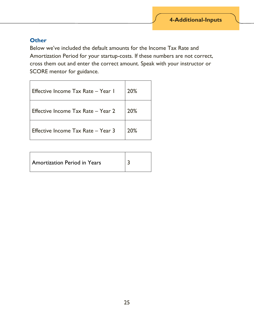#### **Other**

Below we've included the default amounts for the Income Tax Rate and Amortization Period for your startup-costs. If these numbers are not correct, cross them out and enter the correct amount. Speak with your instructor or SCORE mentor for guidance.

| Effective Income Tax Rate - Year I | 20% |
|------------------------------------|-----|
| Effective Income Tax Rate - Year 2 | 20% |
| Effective Income Tax Rate - Year 3 | 20% |

| <b>Amortization Period in Years</b> |  |
|-------------------------------------|--|
|-------------------------------------|--|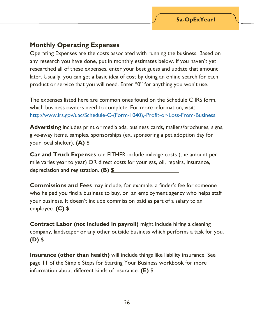### <span id="page-25-0"></span>**Monthly Operating Expenses**

Operating Expenses are the costs associated with running the business. Based on any research you have done, put in monthly estimates below. If you haven't yet researched all of these expenses, enter your best guess and update that amount later. Usually, you can get a basic idea of cost by doing an online search for each product or service that you will need. Enter "0" for anything you won't use.

The expenses listed here are common ones found on the Schedule C IRS form, which business owners need to complete. For more information, visit: [http://www.irs.gov/uac/Schedule-C-\(Form-1040\),-Profit-or-Loss-From-Business.](http://www.irs.gov/uac/Schedule-C-(Form-1040),-Profit-or-Loss-From-Business)

**Advertising** includes print or media ads, business cards, mailers/brochures, signs, give-away items, samples, sponsorships (ex. sponsoring a pet adoption day for your local shelter). **(A) \$**

**Car and Truck Expenses** can EITHER include mileage costs (the amount per mile varies year to year) OR direct costs for your gas, oil, repairs, insurance, depreciation and registration. **(B) \$**

**Commissions and Fees** may include, for example, a finder's fee for someone who helped you find a business to buy, or an employment agency who helps staff your business. It doesn't include commission paid as part of a salary to an employee. **(C) \$**

**Contract Labor (not included in payroll)** might include hiring a cleaning company, landscaper or any other outside business which performs a task for you. **(D) \$**

**Insurance (other than health)** will include things like liability insurance. See page 11 of the Simple Steps for Starting Your Business workbook for more information about different kinds of insurance. **(E) \$**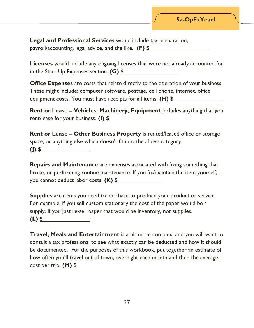**Legal and Professional Services** would include tax preparation,

payroll/accounting, legal advice, and the like. **(F) \$**

**Licenses** would include any ongoing licenses that were not already accounted for in the Start-Up Expenses section. **(G) \$**

**Office Expenses** are costs that relate directly to the operation of your business. These might include: computer software, postage, cell phone, internet, office equipment costs. You must have receipts for all items. **(H) \$**

**Rent or Lease – Vehicles, Machinery, Equipment** includes anything that you rent/lease for your business. **(I) \$**

**Rent or Lease – Other Business Property** is rented/leased office or storage space, or anything else which doesn't fit into the above category. **(J) \$**

**Repairs and Maintenance** are expenses associated with fixing something that broke, or performing routine maintenance. If you fix/maintain the item yourself, you cannot deduct labor costs. **(K) \$**

**Supplies** are items you need to purchase to produce your product or service. For example, if you sell custom stationary the cost of the paper would be a supply. If you just re-sell paper that would be inventory, not supplies. **(L) \$**

| Travel, Meals and Entertainment is a bit more complex, and you will want to      |
|----------------------------------------------------------------------------------|
| consult a tax professional to see what exactly can be deducted and how it should |
| be documented. For the purposes of this workbook, put together an estimate of    |
| how often you'll travel out of town, overnight each month and then the average   |
| cost per trip. $(M)$ \$                                                          |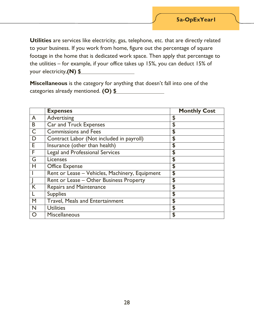**Utilities** are services like electricity, gas, telephone, etc. that are directly related to your business. If you work from home, figure out the percentage of square footage in the home that is dedicated work space. Then apply that percentage to the utilities – for example, if your office takes up 15%, you can deduct 15% of your electricity,**(N) \$**

**Miscellaneous** is the category for anything that doesn't fall into one of the categories already mentioned. **(O) \$**

|                         | <b>Expenses</b>                                | <b>Monthly Cost</b> |
|-------------------------|------------------------------------------------|---------------------|
| $\overline{A}$          | Advertising                                    | \$                  |
| B                       | Car and Truck Expenses                         | \$                  |
| $\overline{C}$          | <b>Commissions and Fees</b>                    | \$                  |
| $\overline{D}$          | Contract Labor (Not included in payroll)       | \$                  |
| E                       | Insurance (other than health)                  | \$                  |
| E                       | Legal and Professional Services                | \$                  |
| G                       | <b>Licenses</b>                                | \$                  |
| H                       | <b>Office Expense</b>                          | \$                  |
|                         | Rent or Lease - Vehicles, Machinery, Equipment | \$                  |
|                         | Rent or Lease - Other Business Property        | \$                  |
| $\overline{\mathsf{K}}$ | <b>Repairs and Maintenance</b>                 | \$                  |
| $\mathsf{L}$            | <b>Supplies</b>                                | \$                  |
| M                       | <b>Travel, Meals and Entertainment</b>         | \$                  |
| N                       | <b>Utilities</b>                               | \$                  |
| $\bigcirc$              | <b>Miscellaneous</b>                           | \$                  |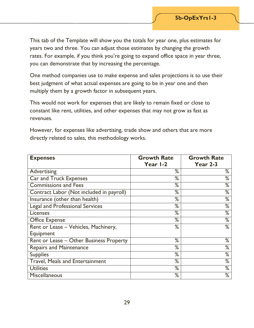This tab of the Template will show you the totals for year one, plus estimates for years two and three. You can adjust those estimates by changing the growth rates. For example, if you think you're going to expand office space in year three, you can demonstrate that by increasing the percentage.

One method companies use to make expense and sales projections is to use their best judgment of what actual expenses are going to be in year one and then multiply them by a growth factor in subsequent years.

This would not work for expenses that are likely to remain fixed or close to constant like rent, utilities, and other expenses that may not grow as fast as revenues.

However, for expenses like advertising, trade show and others that are more directly related to sales, this methodology works.

| <b>Expenses</b>                          | <b>Growth Rate</b> | <b>Growth Rate</b> |
|------------------------------------------|--------------------|--------------------|
|                                          | Year I-2           | <b>Year 2-3</b>    |
| Advertising                              | %                  | ℅                  |
| <b>Car and Truck Expenses</b>            | %                  | ℅                  |
| <b>Commissions and Fees</b>              | %                  | ℅                  |
| Contract Labor (Not included in payroll) | %                  | ℅                  |
| Insurance (other than health)            | $\frac{9}{6}$      | ℅                  |
| <b>Legal and Professional Services</b>   | $\frac{9}{6}$      | ℅                  |
| <b>Licenses</b>                          | %                  | %                  |
| <b>Office Expense</b>                    | %                  | ℅                  |
| Rent or Lease - Vehicles, Machinery,     | %                  | ℅                  |
| Equipment                                |                    |                    |
| Rent or Lease - Other Business Property  | %                  | ℅                  |
| <b>Repairs and Maintenance</b>           | %                  | ℅                  |
| <b>Supplies</b>                          | %                  | ℅                  |
| <b>Travel, Meals and Entertainment</b>   | %                  | ℅                  |
| <b>Utilities</b>                         | %                  | ℅                  |
| Miscellaneous                            | %                  | %                  |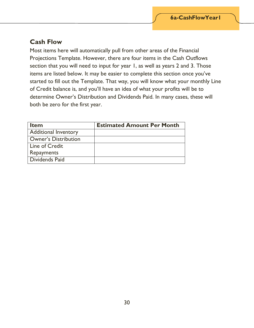### <span id="page-29-0"></span>**Cash Flow**

Most items here will automatically pull from other areas of the Financial Projections Template. However, there are four items in the Cash Outflows section that you will need to input for year 1, as well as years 2 and 3. Those items are listed below. It may be easier to complete this section once you've started to fill out the Template. That way, you will know what your monthly Line of Credit balance is, and you'll have an idea of what your profits will be to determine Owner's Distribution and Dividends Paid. In many cases, these will both be zero for the first year.

| <b>Item</b>                 | <b>Estimated Amount Per Month</b> |
|-----------------------------|-----------------------------------|
| Additional Inventory        |                                   |
| <b>Owner's Distribution</b> |                                   |
| Line of Credit              |                                   |
| <b>Repayments</b>           |                                   |
| Dividends Paid              |                                   |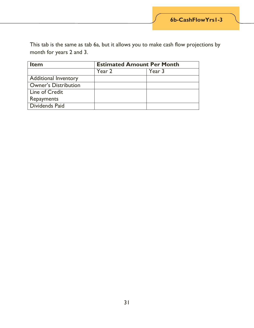This tab is the same as tab 6a, but it allows you to make cash flow projections by month for years 2 and 3.

| <b>Item</b>                 | <b>Estimated Amount Per Month</b> |        |
|-----------------------------|-----------------------------------|--------|
|                             | Year 2                            | Year 3 |
| <b>Additional Inventory</b> |                                   |        |
| <b>Owner's Distribution</b> |                                   |        |
| Line of Credit              |                                   |        |
| Repayments                  |                                   |        |
| Dividends Paid              |                                   |        |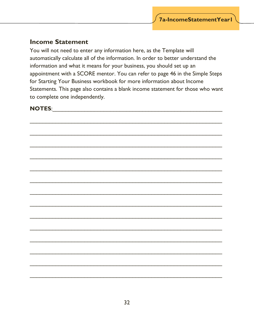#### <span id="page-31-0"></span>**Income Statement**

You will not need to enter any information here, as the Template will automatically calculate all of the information. In order to better understand the information and what it means for your business, you should set up an appointment with a SCORE mentor. You can refer to page 46 in the Simple Steps for Starting Your Business workbook for more information about Income Statements. This page also contains a blank income statement for those who want to complete one independently.

#### $NOTES:$

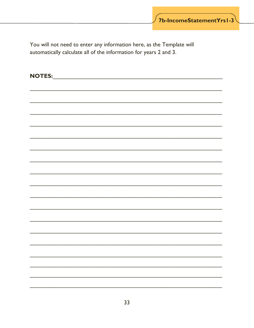You will not need to enter any information here, as the Template will automatically calculate all of the information for years 2 and 3.

| NOTES: |  |
|--------|--|
|        |  |
|        |  |
|        |  |
|        |  |
|        |  |
|        |  |
|        |  |
|        |  |
|        |  |
|        |  |
|        |  |
|        |  |
|        |  |
|        |  |
|        |  |
|        |  |
|        |  |
|        |  |
|        |  |
|        |  |
|        |  |
|        |  |
|        |  |
|        |  |
|        |  |
|        |  |
|        |  |
|        |  |
|        |  |
|        |  |
|        |  |
|        |  |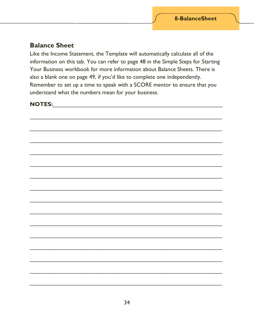#### <span id="page-33-0"></span>**Balance Sheet**

Like the Income Statement, the Template will automatically calculate all of the information on this tab. You can refer to page 48 in the Simple Steps for Starting Your Business workbook for more information about Balance Sheets. There is also a blank one on page 49, if you'd like to complete one independently. Remember to set up a time to speak with a SCORE mentor to ensure that you understand what the numbers mean for your business.

## 

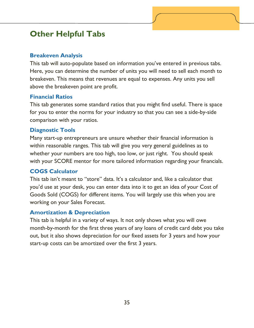# <span id="page-34-0"></span>**Other Helpful Tabs**

#### **Breakeven Analysis**

This tab will auto-populate based on information you've entered in previous tabs. Here, you can determine the number of units you will need to sell each month to breakeven. This means that revenues are equal to expenses. Any units you sell above the breakeven point are profit.

#### **Financial Ratios**

This tab generates some standard ratios that you might find useful. There is space for you to enter the norms for your industry so that you can see a side-by-side comparison with your ratios.

#### **Diagnostic Tools**

Many start-up entrepreneurs are unsure whether their financial information is within reasonable ranges. This tab will give you very general guidelines as to whether your numbers are too high, too low, or just right. You should speak with your SCORE mentor for more tailored information regarding your financials.

#### **COGS Calculator**

This tab isn't meant to "store" data. It's a calculator and, like a calculator that you'd use at your desk, you can enter data into it to get an idea of your Cost of Goods Sold (COGS) for different items. You will largely use this when you are working on your Sales Forecast.

#### **Amortization & Depreciation**

This tab is helpful in a variety of ways. It not only shows what you will owe month-by-month for the first three years of any loans of credit card debt you take out, but it also shows depreciation for our fixed assets for 3 years and how your start-up costs can be amortized over the first 3 years.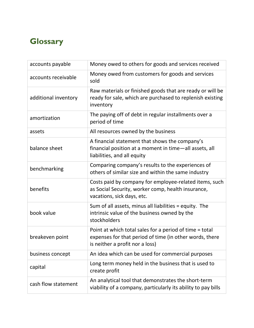# <span id="page-35-0"></span>**Glossary**

| accounts payable     | Money owed to others for goods and services received                                                                                                  |
|----------------------|-------------------------------------------------------------------------------------------------------------------------------------------------------|
| accounts receivable  | Money owed from customers for goods and services<br>sold                                                                                              |
| additional inventory | Raw materials or finished goods that are ready or will be<br>ready for sale, which are purchased to replenish existing<br>inventory                   |
| amortization         | The paying off of debt in regular installments over a<br>period of time                                                                               |
| assets               | All resources owned by the business                                                                                                                   |
| balance sheet        | A financial statement that shows the company's<br>financial position at a moment in time-all assets, all<br>liabilities, and all equity               |
| benchmarking         | Comparing company's results to the experiences of<br>others of similar size and within the same industry                                              |
| benefits             | Costs paid by company for employee-related items, such<br>as Social Security, worker comp, health insurance,<br>vacations, sick days, etc.            |
| book value           | Sum of all assets, minus all liabilities = equity. The<br>intrinsic value of the business owned by the<br>stockholders                                |
| breakeven point      | Point at which total sales for a period of time = total<br>expenses for that period of time (in other words, there<br>is neither a profit nor a loss) |
| business concept     | An idea which can be used for commercial purposes                                                                                                     |
| capital              | Long term money held in the business that is used to<br>create profit                                                                                 |
| cash flow statement  | An analytical tool that demonstrates the short-term<br>viability of a company, particularly its ability to pay bills                                  |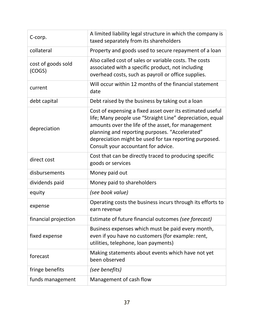| C-corp.                      | A limited liability legal structure in which the company is<br>taxed separately from its shareholders                                                                                                                                                                                                                           |
|------------------------------|---------------------------------------------------------------------------------------------------------------------------------------------------------------------------------------------------------------------------------------------------------------------------------------------------------------------------------|
| collateral                   | Property and goods used to secure repayment of a loan                                                                                                                                                                                                                                                                           |
| cost of goods sold<br>(COGS) | Also called cost of sales or variable costs. The costs<br>associated with a specific product, not including<br>overhead costs, such as payroll or office supplies.                                                                                                                                                              |
| current                      | Will occur within 12 months of the financial statement<br>date                                                                                                                                                                                                                                                                  |
| debt capital                 | Debt raised by the business by taking out a loan                                                                                                                                                                                                                                                                                |
| depreciation                 | Cost of expensing a fixed asset over its estimated useful<br>life; Many people use "Straight Line" depreciation, equal<br>amounts over the life of the asset, for management<br>planning and reporting purposes. "Accelerated"<br>depreciation might be used for tax reporting purposed.<br>Consult your accountant for advice. |
| direct cost                  | Cost that can be directly traced to producing specific<br>goods or services                                                                                                                                                                                                                                                     |
| disbursements                | Money paid out                                                                                                                                                                                                                                                                                                                  |
| dividends paid               | Money paid to shareholders                                                                                                                                                                                                                                                                                                      |
| equity                       | (see book value)                                                                                                                                                                                                                                                                                                                |
| expense                      | Operating costs the business incurs through its efforts to<br>earn revenue                                                                                                                                                                                                                                                      |
| financial projection         | Estimate of future financial outcomes (see forecast)                                                                                                                                                                                                                                                                            |
| fixed expense                | Business expenses which must be paid every month,<br>even if you have no customers (for example: rent,<br>utilities, telephone, loan payments)                                                                                                                                                                                  |
| forecast                     | Making statements about events which have not yet<br>been observed                                                                                                                                                                                                                                                              |
| fringe benefits              | (see benefits)                                                                                                                                                                                                                                                                                                                  |
| funds management             | Management of cash flow                                                                                                                                                                                                                                                                                                         |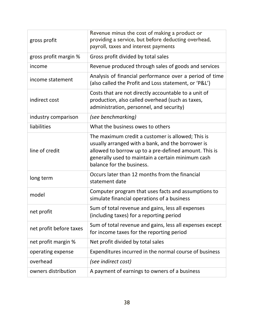| gross profit            | Revenue minus the cost of making a product or<br>providing a service, but before deducting overhead,<br>payroll, taxes and interest payments                                                                                                      |
|-------------------------|---------------------------------------------------------------------------------------------------------------------------------------------------------------------------------------------------------------------------------------------------|
| gross profit margin %   | Gross profit divided by total sales                                                                                                                                                                                                               |
| income                  | Revenue produced through sales of goods and services                                                                                                                                                                                              |
| income statement        | Analysis of financial performance over a period of time<br>(also called the Profit and Loss statement, or 'P&L')                                                                                                                                  |
| indirect cost           | Costs that are not directly accountable to a unit of<br>production, also called overhead (such as taxes,<br>administration, personnel, and security)                                                                                              |
| industry comparison     | (see benchmarking)                                                                                                                                                                                                                                |
| liabilities             | What the business owes to others                                                                                                                                                                                                                  |
| line of credit          | The maximum credit a customer is allowed; This is<br>usually arranged with a bank, and the borrower is<br>allowed to borrow up to a pre-defined amount. This is<br>generally used to maintain a certain minimum cash<br>balance for the business. |
| long term               | Occurs later than 12 months from the financial<br>statement date                                                                                                                                                                                  |
| model                   | Computer program that uses facts and assumptions to<br>simulate financial operations of a business                                                                                                                                                |
| net profit              | Sum of total revenue and gains, less all expenses<br>(including taxes) for a reporting period                                                                                                                                                     |
| net profit before taxes | Sum of total revenue and gains, less all expenses except<br>for income taxes for the reporting period                                                                                                                                             |
| net profit margin %     | Net profit divided by total sales                                                                                                                                                                                                                 |
| operating expense       | Expenditures incurred in the normal course of business                                                                                                                                                                                            |
| overhead                | (see indirect cost)                                                                                                                                                                                                                               |
| owners distribution     | A payment of earnings to owners of a business                                                                                                                                                                                                     |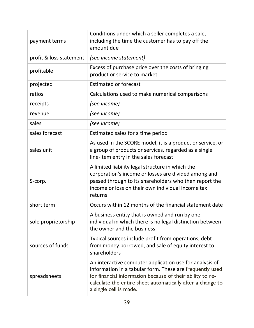| payment terms           | Conditions under which a seller completes a sale,<br>including the time the customer has to pay off the<br>amount due                                                                                                                                                    |
|-------------------------|--------------------------------------------------------------------------------------------------------------------------------------------------------------------------------------------------------------------------------------------------------------------------|
| profit & loss statement | (see income statement)                                                                                                                                                                                                                                                   |
| profitable              | Excess of purchase price over the costs of bringing<br>product or service to market                                                                                                                                                                                      |
| projected               | <b>Estimated or forecast</b>                                                                                                                                                                                                                                             |
| ratios                  | Calculations used to make numerical comparisons                                                                                                                                                                                                                          |
| receipts                | (see income)                                                                                                                                                                                                                                                             |
| revenue                 | (see income)                                                                                                                                                                                                                                                             |
| sales                   | (see income)                                                                                                                                                                                                                                                             |
| sales forecast          | Estimated sales for a time period                                                                                                                                                                                                                                        |
| sales unit              | As used in the SCORE model, it is a product or service, or<br>a group of products or services, regarded as a single<br>line-item entry in the sales forecast                                                                                                             |
| S-corp.                 | A limited liability legal structure in which the<br>corporation's income or losses are divided among and<br>passed through to its shareholders who then report the<br>income or loss on their own individual income tax<br>returns                                       |
| short term              | Occurs within 12 months of the financial statement date                                                                                                                                                                                                                  |
| sole proprietorship     | A business entity that is owned and run by one<br>individual in which there is no legal distinction between<br>the owner and the business                                                                                                                                |
| sources of funds        | Typical sources include profit from operations, debt<br>from money borrowed, and sale of equity interest to<br>shareholders                                                                                                                                              |
| spreadsheets            | An interactive computer application use for analysis of<br>information in a tabular form. These are frequently used<br>for financial information because of their ability to re-<br>calculate the entire sheet automatically after a change to<br>a single cell is made. |